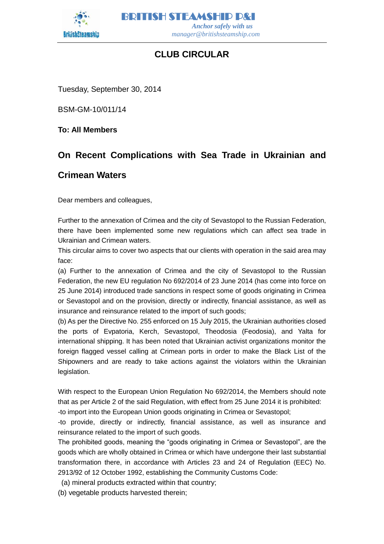

BRITISH STEAMSHIP P&I  *Anchor safely with us manager@britishsteamship.com* 

# **CLUB CIRCULAR**

Tuesday, September 30, 2014

BSM-GM-10/011/14

**To: All Members**

# **On Recent Complications with Sea Trade in Ukrainian and**

## **Crimean Waters**

Dear members and colleagues,

Further to the annexation of Crimea and the city of Sevastopol to the Russian Federation, there have been implemented some new regulations which can affect sea trade in Ukrainian and Crimean waters.

This circular aims to cover two aspects that our clients with operation in the said area may face:

(a) Further to the annexation of Crimea and the city of Sevastopol to the Russian Federation, the new EU regulation No 692/2014 of 23 June 2014 (has come into force on 25 June 2014) introduced trade sanctions in respect some of goods originating in Crimea or Sevastopol and on the provision, directly or indirectly, financial assistance, as well as insurance and reinsurance related to the import of such goods;

(b) As per the Directive No. 255 enforced on 15 July 2015, the Ukrainian authorities closed the ports of Evpatoria, Kerch, Sevastopol, Theodosia (Feodosia), and Yalta for international shipping. It has been noted that Ukrainian activist organizations monitor the foreign flagged vessel calling at Crimean ports in order to make the Black List of the Shipowners and are ready to take actions against the violators within the Ukrainian legislation.

With respect to the European Union Regulation No 692/2014, the Members should note that as per Article 2 of the said Regulation, with effect from 25 June 2014 it is prohibited: -to import into the European Union goods originating in Crimea or Sevastopol;

-to provide, directly or indirectly, financial assistance, as well as insurance and reinsurance related to the import of such goods.

The prohibited goods, meaning the "goods originating in Crimea or Sevastopol", are the goods which are wholly obtained in Crimea or which have undergone their last substantial transformation there, in accordance with Articles 23 and 24 of Regulation (EEC) No. 2913/92 of 12 October 1992, establishing the Community Customs Code:

(a) mineral products extracted within that country;

(b) vegetable products harvested therein;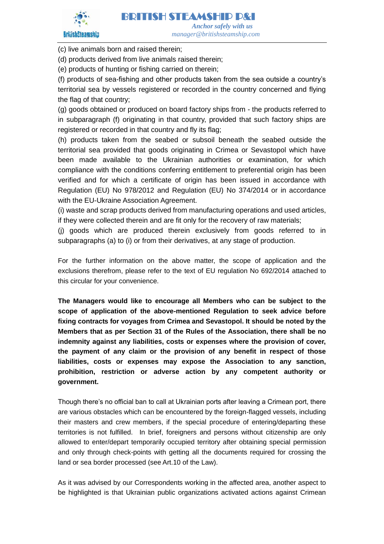

(c) live animals born and raised therein;

(d) products derived from live animals raised therein;

(e) products of hunting or fishing carried on therein;

(f) products of sea-fishing and other products taken from the sea outside a country's territorial sea by vessels registered or recorded in the country concerned and flying the flag of that country;

(g) goods obtained or produced on board factory ships from - the products referred to in subparagraph (f) originating in that country, provided that such factory ships are registered or recorded in that country and fly its flag;

(h) products taken from the seabed or subsoil beneath the seabed outside the territorial sea provided that goods originating in Crimea or Sevastopol which have been made available to the Ukrainian authorities or examination, for which compliance with the conditions conferring entitlement to preferential origin has been verified and for which a certificate of origin has been issued in accordance with Regulation (EU) No 978/2012 and Regulation (EU) No 374/2014 or in accordance with the EU-Ukraine Association Agreement.

(i) waste and scrap products derived from manufacturing operations and used articles, if they were collected therein and are fit only for the recovery of raw materials;

(j) goods which are produced therein exclusively from goods referred to in subparagraphs (a) to (i) or from their derivatives, at any stage of production.

For the further information on the above matter, the scope of application and the exclusions therefrom, please refer to the text of EU regulation No 692/2014 attached to this circular for your convenience.

**The Managers would like to encourage all Members who can be subject to the scope of application of the above-mentioned Regulation to seek advice before fixing contracts for voyages from Crimea and Sevastopol. It should be noted by the Members that as per Section 31 of the Rules of the Association, there shall be no indemnity against any liabilities, costs or expenses where the provision of cover, the payment of any claim or the provision of any benefit in respect of those liabilities, costs or expenses may expose the Association to any sanction, prohibition, restriction or adverse action by any competent authority or government.**

Though there's no official ban to call at Ukrainian ports after leaving a Crimean port, there are various obstacles which can be encountered by the foreign-flagged vessels, including their masters and crew members, if the special procedure of entering/departing these territories is not fulfilled. In brief, foreigners and persons without citizenship are only allowed to enter/depart temporarily occupied territory after obtaining special permission and only through check-points with getting all the documents required for crossing the land or sea border processed (see Art.10 of the Law).

As it was advised by our Correspondents working in the affected area, another aspect to be highlighted is that Ukrainian public organizations activated actions against Crimean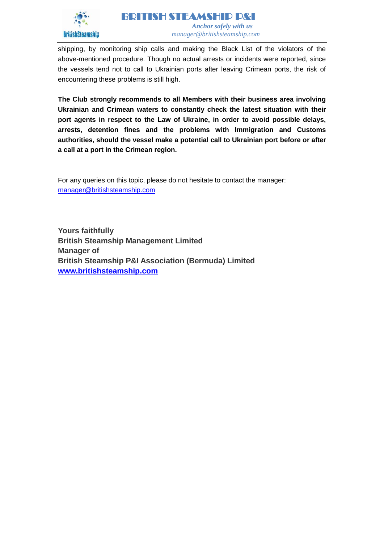

shipping, by monitoring ship calls and making the Black List of the violators of the above-mentioned procedure. Though no actual arrests or incidents were reported, since the vessels tend not to call to Ukrainian ports after leaving Crimean ports, the risk of encountering these problems is still high.

**The Club strongly recommends to all Members with their business area involving Ukrainian and Crimean waters to constantly check the latest situation with their port agents in respect to the Law of Ukraine, in order to avoid possible delays, arrests, detention fines and the problems with Immigration and Customs authorities, should the vessel make a potential call to Ukrainian port before or after a call at a port in the Crimean region.**

For any queries on this topic, please do not hesitate to contact the manager: [manager@britishsteamship.com](mailto:manager@britishsteamship.com)

**Yours faithfully British Steamship Management Limited Manager of British Steamship P&I Association (Bermuda) Limited [www.britishsteamship.com](http://www.britishsteamship.com/)**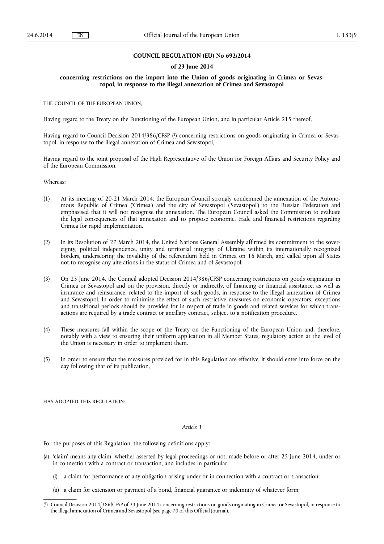## **COUNCIL REGULATION (EU) No 692/2014**

#### **of 23 June 2014**

## **concerning restrictions on the import into the Union of goods originating in Crimea or Sevastopol, in response to the illegal annexation of Crimea and Sevastopol**

THE COUNCIL OF THE EUROPEAN UNION,

Having regard to the Treaty on the Functioning of the European Union, and in particular Article 215 thereof,

Having regard to Council Decision 2014/386/CFSP ( 1 ) concerning restrictions on goods originating in Crimea or Sevastopol, in response to the illegal annexation of Crimea and Sevastopol,

Having regard to the joint proposal of the High Representative of the Union for Foreign Affairs and Security Policy and of the European Commission,

Whereas:

- (1) At its meeting of 20-21 March 2014, the European Council strongly condemned the annexation of the Autonomous Republic of Crimea ('Crimea') and the city of Sevastopol ('Sevastopol') to the Russian Federation and emphasised that it will not recognise the annexation. The European Council asked the Commission to evaluate the legal consequences of that annexation and to propose economic, trade and financial restrictions regarding Crimea for rapid implementation.
- (2) In its Resolution of 27 March 2014, the United Nations General Assembly affirmed its commitment to the sovereignty, political independence, unity and territorial integrity of Ukraine within its internationally recognized borders, underscoring the invalidity of the referendum held in Crimea on 16 March, and called upon all States not to recognise any alterations in the status of Crimea and of Sevastopol.
- (3) On 23 June 2014, the Council adopted Decision 2014/386/CFSP concerning restrictions on goods originating in Crimea or Sevastopol and on the provision, directly or indirectly, of financing or financial assistance, as well as insurance and reinsurance, related to the import of such goods, in response to the illegal annexation of Crimea and Sevastopol. In order to minimise the effect of such restrictive measures on economic operators, exceptions and transitional periods should be provided for in respect of trade in goods and related services for which transactions are required by a trade contract or ancillary contract, subject to a notification procedure.
- (4) These measures fall within the scope of the Treaty on the Functioning of the European Union and, therefore, notably with a view to ensuring their uniform application in all Member States, regulatory action at the level of the Union is necessary in order to implement them.
- (5) In order to ensure that the measures provided for in this Regulation are effective, it should enter into force on the day following that of its publication,

HAS ADOPTED THIS REGULATION:

#### *Article 1*

For the purposes of this Regulation, the following definitions apply:

- (a) 'claim' means any claim, whether asserted by legal proceedings or not, made before or after 25 June 2014, under or in connection with a contract or transaction, and includes in particular:
	- a claim for performance of any obligation arising under or in connection with a contract or transaction;
	- (ii) a claim for extension or payment of a bond, financial guarantee or indemnity of whatever form;

<sup>(</sup> 1 ) Council Decision 2014/386/CFSP of 23 June 2014 concerning restrictions on goods originating in Crimea or Sevastopol, in response to the illegal annexation of Crimea and Sevastopol (see page 70 of this Official Journal).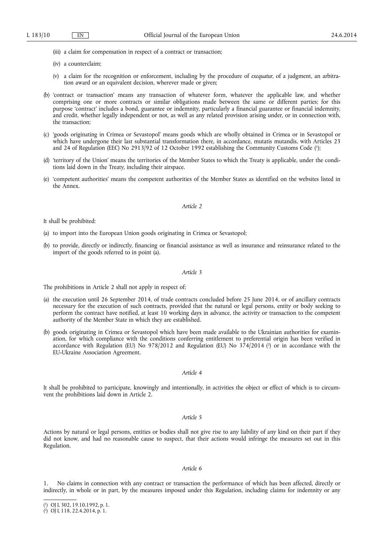(iii) a claim for compensation in respect of a contract or transaction;

- (iv) a counterclaim;
- (v) a claim for the recognition or enforcement, including by the procedure of *exequatur*, of a judgment, an arbitration award or an equivalent decision, wherever made or given;
- (b) 'contract or transaction' means any transaction of whatever form, whatever the applicable law, and whether comprising one or more contracts or similar obligations made between the same or different parties; for this purpose 'contract' includes a bond, guarantee or indemnity, particularly a financial guarantee or financial indemnity, and credit, whether legally independent or not, as well as any related provision arising under, or in connection with, the transaction;
- (c) 'goods originating in Crimea or Sevastopol' means goods which are wholly obtained in Crimea or in Sevastopol or which have undergone their last substantial transformation there, in accordance, mutatis mutandis, with Articles 23 and 24 of Regulation (EEC) No 2913/92 of 12 October 1992 establishing the Community Customs Code ( 1 );
- (d) 'territory of the Union' means the territories of the Member States to which the Treaty is applicable, under the conditions laid down in the Treaty, including their airspace.
- (e) 'competent authorities' means the competent authorities of the Member States as identified on the websites listed in the Annex.

#### *Article 2*

It shall be prohibited:

- (a) to import into the European Union goods originating in Crimea or Sevastopol;
- (b) to provide, directly or indirectly, financing or financial assistance as well as insurance and reinsurance related to the import of the goods referred to in point (a).

## *Article 3*

The prohibitions in Article 2 shall not apply in respect of:

- (a) the execution until 26 September 2014, of trade contracts concluded before 25 June 2014, or of ancillary contracts necessary for the execution of such contracts, provided that the natural or legal persons, entity or body seeking to perform the contract have notified, at least 10 working days in advance, the activity or transaction to the competent authority of the Member State in which they are established.
- (b) goods originating in Crimea or Sevastopol which have been made available to the Ukrainian authorities for examination, for which compliance with the conditions conferring entitlement to preferential origin has been verified in accordance with Regulation (EU) No 978/2012 and Regulation (EU) No 374/2014 (<sup>2</sup>) or in accordance with the EU-Ukraine Association Agreement.

#### *Article 4*

It shall be prohibited to participate, knowingly and intentionally, in activities the object or effect of which is to circumvent the prohibitions laid down in Article 2.

#### *Article 5*

Actions by natural or legal persons, entities or bodies shall not give rise to any liability of any kind on their part if they did not know, and had no reasonable cause to suspect, that their actions would infringe the measures set out in this Regulation.

#### *Article 6*

1. No claims in connection with any contract or transaction the performance of which has been affected, directly or indirectly, in whole or in part, by the measures imposed under this Regulation, including claims for indemnity or any

<sup>(</sup> 1 ) OJ L 302, 19.10.1992, p. 1.

<sup>(</sup> 2 ) OJ L 118, 22.4.2014, p. 1.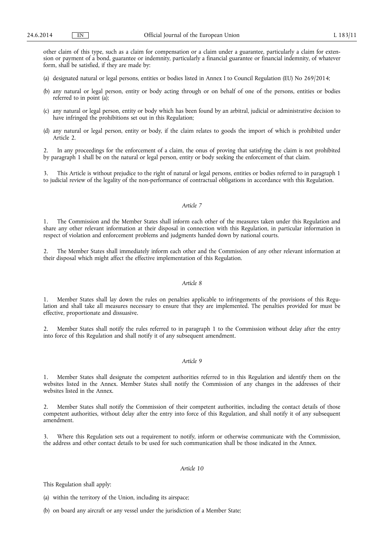other claim of this type, such as a claim for compensation or a claim under a guarantee, particularly a claim for extension or payment of a bond, guarantee or indemnity, particularly a financial guarantee or financial indemnity, of whatever form, shall be satisfied, if they are made by:

- (a) designated natural or legal persons, entities or bodies listed in Annex I to Council Regulation (EU) No 269/2014;
- (b) any natural or legal person, entity or body acting through or on behalf of one of the persons, entities or bodies referred to in point (a);
- (c) any natural or legal person, entity or body which has been found by an arbitral, judicial or administrative decision to have infringed the prohibitions set out in this Regulation;
- (d) any natural or legal person, entity or body, if the claim relates to goods the import of which is prohibited under Article 2.

2. In any proceedings for the enforcement of a claim, the onus of proving that satisfying the claim is not prohibited by paragraph 1 shall be on the natural or legal person, entity or body seeking the enforcement of that claim.

3. This Article is without prejudice to the right of natural or legal persons, entities or bodies referred to in paragraph 1 to judicial review of the legality of the non-performance of contractual obligations in accordance with this Regulation.

## *Article 7*

1. The Commission and the Member States shall inform each other of the measures taken under this Regulation and share any other relevant information at their disposal in connection with this Regulation, in particular information in respect of violation and enforcement problems and judgments handed down by national courts.

2. The Member States shall immediately inform each other and the Commission of any other relevant information at their disposal which might affect the effective implementation of this Regulation.

### *Article 8*

1. Member States shall lay down the rules on penalties applicable to infringements of the provisions of this Regulation and shall take all measures necessary to ensure that they are implemented. The penalties provided for must be effective, proportionate and dissuasive.

2. Member States shall notify the rules referred to in paragraph 1 to the Commission without delay after the entry into force of this Regulation and shall notify it of any subsequent amendment.

## *Article 9*

1. Member States shall designate the competent authorities referred to in this Regulation and identify them on the websites listed in the Annex. Member States shall notify the Commission of any changes in the addresses of their websites listed in the Annex.

2. Member States shall notify the Commission of their competent authorities, including the contact details of those competent authorities, without delay after the entry into force of this Regulation, and shall notify it of any subsequent amendment.

3. Where this Regulation sets out a requirement to notify, inform or otherwise communicate with the Commission, the address and other contact details to be used for such communication shall be those indicated in the Annex.

## *Article 10*

This Regulation shall apply:

(a) within the territory of the Union, including its airspace;

(b) on board any aircraft or any vessel under the jurisdiction of a Member State;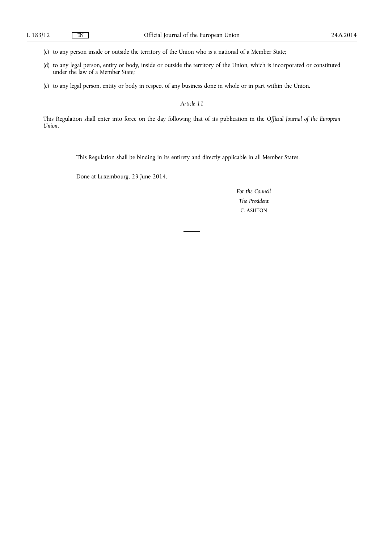(c) to any person inside or outside the territory of the Union who is a national of a Member State;

- (d) to any legal person, entity or body, inside or outside the territory of the Union, which is incorporated or constituted under the law of a Member State;
- (e) to any legal person, entity or body in respect of any business done in whole or in part within the Union.

*Article 11* 

This Regulation shall enter into force on the day following that of its publication in the *Official Journal of the European Union*.

This Regulation shall be binding in its entirety and directly applicable in all Member States.

Done at Luxembourg, 23 June 2014.

*For the Council The President*  C. ASHTON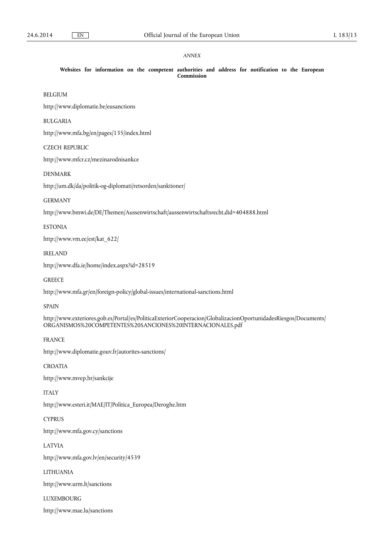## *ANNEX*

**Websites for information on the competent authorities and address for notification to the European Commission** 

BELGIUM

<http://www.diplomatie.be/eusanctions>

BULGARIA

<http://www.mfa.bg/en/pages/135/index.html>

## CZECH REPUBLIC

<http://www.mfcr.cz/mezinarodnisankce>

## DENMARK

<http://um.dk/da/politik-og-diplomati/retsorden/sanktioner/>

## GERMANY

<http://www.bmwi.de/DE/Themen/Aussenwirtschaft/aussenwirtschaftsrecht,did=404888.html>

## ESTONIA

[http://www.vm.ee/est/kat\\_622/](http://www.vm.ee/est/kat_622/)

## IRELAND

<http://www.dfa.ie/home/index.aspx?id=28519>

## **GREECE**

<http://www.mfa.gr/en/foreign-policy/global-issues/international-sanctions.html>

#### SPAIN

[http://www.exteriores.gob.es/Portal/es/PoliticaExteriorCooperacion/GlobalizacionOportunidadesRiesgos/Documents/](http://www.exteriores.gob.es/Portal/es/PoliticaExteriorCooperacion/GlobalizacionOportunidadesRiesgos/Documents/ORGANISMOS%20COMPETENTES%20SANCIONES%20INTERNACIONALES.pdf)  [ORGANISMOS%20COMPETENTES%20SANCIONES%20INTERNACIONALES.pdf](http://www.exteriores.gob.es/Portal/es/PoliticaExteriorCooperacion/GlobalizacionOportunidadesRiesgos/Documents/ORGANISMOS%20COMPETENTES%20SANCIONES%20INTERNACIONALES.pdf) 

## FRANCE

<http://www.diplomatie.gouv.fr/autorites-sanctions/>

## CROATIA

<http://www.mvep.hr/sankcije>

## ITALY

[http://www.esteri.it/MAE/IT/Politica\\_Europea/Deroghe.htm](http://www.esteri.it/MAE/IT/Politica_Europea/Deroghe.htm) 

## CYPRUS

<http://www.mfa.gov.cy/sanctions>

### LATVIA

<http://www.mfa.gov.lv/en/security/4539>

## LITHUANIA

<http://www.urm.lt/sanctions>

## LUXEMBOURG

<http://www.mae.lu/sanctions>